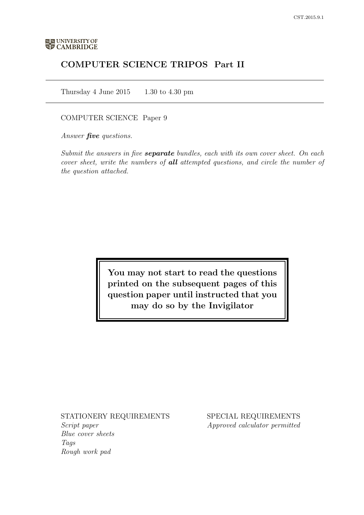# COMPUTER SCIENCE TRIPOS Part II

Thursday 4 June  $2015$  1.30 to 4.30 pm

### COMPUTER SCIENCE Paper 9

Answer **five** questions.

Submit the answers in five **separate** bundles, each with its own cover sheet. On each cover sheet, write the numbers of **all** attempted questions, and circle the number of the question attached.

> You may not start to read the questions printed on the subsequent pages of this question paper until instructed that you may do so by the Invigilator

### STATIONERY REQUIREMENTS

Script paper Blue cover sheets Tags Rough work pad

SPECIAL REQUIREMENTS Approved calculator permitted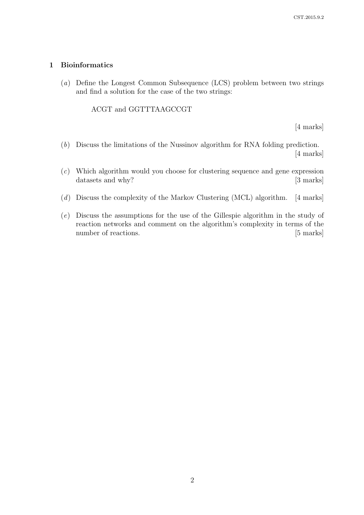### 1 Bioinformatics

(a) Define the Longest Common Subsequence (LCS) problem between two strings and find a solution for the case of the two strings:

### ACGT and GGTTTAAGCCGT

[4 marks]

- (b) Discuss the limitations of the Nussinov algorithm for RNA folding prediction. [4 marks]
- (c) Which algorithm would you choose for clustering sequence and gene expression datasets and why? [3 marks]
- (d) Discuss the complexity of the Markov Clustering (MCL) algorithm. [4 marks]
- (e) Discuss the assumptions for the use of the Gillespie algorithm in the study of reaction networks and comment on the algorithm's complexity in terms of the number of reactions. [5 marks]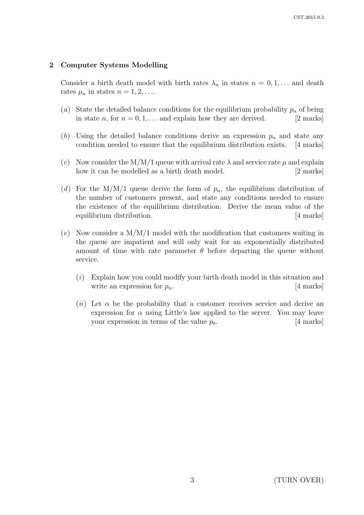# 2 Computer Systems Modelling

Consider a birth death model with birth rates  $\lambda_n$  in states  $n = 0, 1, \ldots$  and death rates  $\mu_n$  in states  $n = 1, 2, \ldots$ 

- (a) State the detailed balance conditions for the equilibrium probability  $p_n$  of being in state *n*, for  $n = 0, 1, \ldots$  and explain how they are derived. [2 marks]
- (b) Using the detailed balance conditions derive an expression  $p_n$  and state any condition needed to ensure that the equilibrium distribution exists. [4 marks]
- (c) Now consider the M/M/1 queue with arrival rate  $\lambda$  and service rate  $\mu$  and explain how it can be modelled as a birth death model. [2 marks]
- (d) For the M/M/1 queue derive the form of  $p_n$ , the equilibrium distribution of the number of customers present, and state any conditions needed to ensure the existence of the equilibrium distribution. Derive the mean value of the equilibrium distribution. [4 marks]
- $(e)$  Now consider a  $M/M/1$  model with the modification that customers waiting in the queue are impatient and will only wait for an exponentially distributed amount of time with rate parameter  $\theta$  before departing the queue without service.
	- (i) Explain how you could modify your birth death model in this situation and write an expression for  $p_n$ . [4 marks]
	- (ii) Let  $\alpha$  be the probability that a customer receives service and derive an expression for  $\alpha$  using Little's law applied to the server. You may leave your expression in terms of the value  $p_0$ . [4 marks]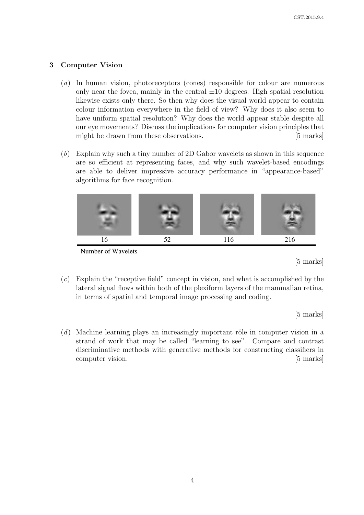## 3 Computer Vision

- (a) In human vision, photoreceptors (cones) responsible for colour are numerous only near the fovea, mainly in the central  $\pm 10$  degrees. High spatial resolution likewise exists only there. So then why does the visual world appear to contain colour information everywhere in the field of view? Why does it also seem to have uniform spatial resolution? Why does the world appear stable despite all our eye movements? Discuss the implications for computer vision principles that might be drawn from these observations. [5 marks]
- (b) Explain why such a tiny number of 2D Gabor wavelets as shown in this sequence are so efficient at representing faces, and why such wavelet-based encodings are able to deliver impressive accuracy performance in "appearance-based" algorithms for face recognition.



Number of Wavelets

[5 marks]

(c) Explain the "receptive field" concept in vision, and what is accomplished by the lateral signal flows within both of the plexiform layers of the mammalian retina, in terms of spatial and temporal image processing and coding.

[5 marks]

 $(d)$  Machine learning plays an increasingly important rôle in computer vision in a strand of work that may be called "learning to see". Compare and contrast discriminative methods with generative methods for constructing classifiers in computer vision. [5 marks]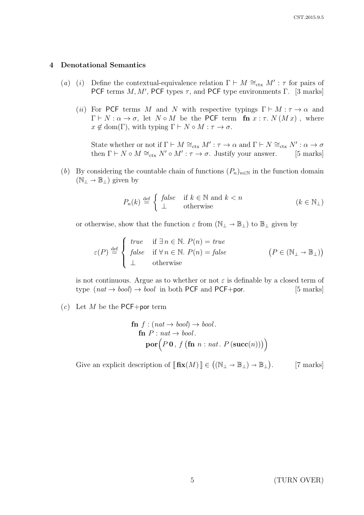#### 4 Denotational Semantics

- (a) (i) Define the contextual-equivalence relation  $\Gamma \vdash M \cong_{\text{ctx}} M' : \tau$  for pairs of PCF terms  $M, M'$ , PCF types  $\tau$ , and PCF type environments  $\Gamma$ . [3 marks]
	- (ii) For PCF terms M and N with respective typings  $\Gamma \vdash M : \tau \to \alpha$  and  $\Gamma \vdash N : \alpha \to \sigma$ , let  $N \circ M$  be the PCF term fn  $x : \tau$ .  $N(Mx)$ , where  $x \notin \text{dom}(\Gamma)$ , with typing  $\Gamma \vdash N \circ M : \tau \to \sigma$ .

State whether or not if  $\Gamma \vdash M \cong_{\text{ctx}} M' : \tau \to \alpha$  and  $\Gamma \vdash N \cong_{\text{ctx}} N' : \alpha \to \sigma$ then  $\Gamma \vdash N \circ M \cong_{\text{ctx}} N' \circ M' : \tau \to \sigma$ . Justify your answer. [5 marks]

(b) By considering the countable chain of functions  $(P_n)_{n\in\mathbb{N}}$  in the function domain  $(N_$ ⊥ →  $\mathbb{B}_$ <sub>⊥</sub>) given by

$$
P_n(k) \stackrel{\text{def}}{=} \begin{cases} false & \text{if } k \in \mathbb{N} \text{ and } k < n \\ \perp & \text{otherwise} \end{cases} \tag{k \in \mathbb{N}_{\perp}}
$$

or otherwise, show that the function  $\varepsilon$  from  $(\mathbb{N}_{\perp} \to \mathbb{B}_{\perp})$  to  $\mathbb{B}_{\perp}$  given by

$$
\varepsilon(P) \stackrel{\text{def}}{=} \begin{cases} \text{true} & \text{if } \exists n \in \mathbb{N}. \ P(n) = \text{true} \\ \text{false} & \text{if } \forall n \in \mathbb{N}. \ P(n) = \text{false} \\ \bot & \text{otherwise} \end{cases} \qquad (P \in (\mathbb{N}_\bot \to \mathbb{B}_\bot))
$$

is not continuous. Argue as to whether or not  $\varepsilon$  is definable by a closed term of type  $(nat \rightarrow bool) \rightarrow bool$  in both PCF and PCF+por. [5 marks]

 $(c)$  Let M be the PCF+por term

$$
\begin{array}{l}\n\mathbf{f} : (nat \rightarrow bool) \rightarrow bool. \\
\mathbf{f} \mathbf{n} \ P : nat \rightarrow bool. \\
\mathbf{por} \Big( P \mathbf{0} \,, \, f \big( \mathbf{f} \mathbf{n} \, n : nat. \ P \left( \mathbf{succ}(n) \right) \big) \Big) \n\end{array}
$$

Give an explicit description of  $[\![\mathbf{fix}(M)]\!] \in ((\mathbb{N}_{\bot} \to \mathbb{B}_{\bot}) \to \mathbb{B}_{\bot})$ . [7 marks]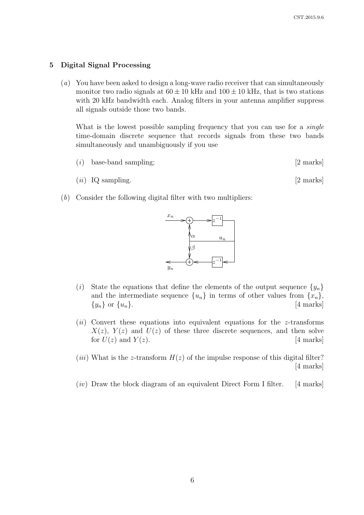#### 5 Digital Signal Processing

(a) You have been asked to design a long-wave radio receiver that can simultaneously monitor two radio signals at  $60 \pm 10$  kHz and  $100 \pm 10$  kHz, that is two stations with 20 kHz bandwidth each. Analog filters in your antenna amplifier suppress all signals outside those two bands.

What is the lowest possible sampling frequency that you can use for a *single* time-domain discrete sequence that records signals from these two bands simultaneously and unambiguously if you use

- $(i)$  base-band sampling;  $[2 \text{ marks}]$
- $(ii)$  IQ sampling. [2 marks]
- (b) Consider the following digital filter with two multipliers:



- (i) State the equations that define the elements of the output sequence  $\{y_n\}$ and the intermediate sequence  $\{u_n\}$  in terms of other values from  $\{x_n\}$ ,  $\{y_n\}$  or  $\{u_n\}.$  [4 marks]
- $(ii)$  Convert these equations into equivalent equations for the *z*-transforms  $X(z)$ ,  $Y(z)$  and  $U(z)$  of these three discrete sequences, and then solve for  $U(z)$  and  $Y(z)$ . [4 marks]

(*iii*) What is the z-transform  $H(z)$  of the impulse response of this digital filter? [4 marks]

 $(iv)$  Draw the block diagram of an equivalent Direct Form I filter. [4 marks]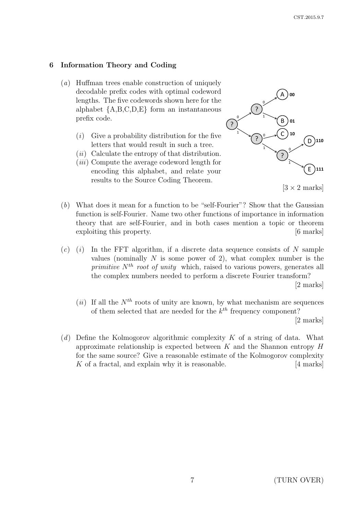## 6 Information Theory and Coding

- (a) Huffman trees enable construction of uniquely decodable prefix codes with optimal codeword lengths. The five codewords shown here for the alphabet  ${A, B, C, D, E}$  form an instantaneous prefix code.
	- $(i)$  Give a probability distribution for the five letters that would result in such a tree.
	- $(ii)$  Calculate the entropy of that distribution.
	- (*iii*) Compute the average codeword length for encoding this alphabet, and relate your results to the Source Coding Theorem.



 $[3 \times 2 \text{ marks}]$ 

- (b) What does it mean for a function to be "self-Fourier"? Show that the Gaussian function is self-Fourier. Name two other functions of importance in information theory that are self-Fourier, and in both cases mention a topic or theorem exploiting this property. [6 marks]
- $(c)$  (i) In the FFT algorithm, if a discrete data sequence consists of N sample values (nominally  $N$  is some power of 2), what complex number is the primitive  $N^{th}$  root of unity which, raised to various powers, generates all the complex numbers needed to perform a discrete Fourier transform? [2 marks]
	- (ii) If all the  $N^{th}$  roots of unity are known, by what mechanism are sequences of them selected that are needed for the  $k^{th}$  frequency component? [2 marks]
- (d) Define the Kolmogorov algorithmic complexity K of a string of data. What approximate relationship is expected between  $K$  and the Shannon entropy  $H$ for the same source? Give a reasonable estimate of the Kolmogorov complexity  $K$  of a fractal, and explain why it is reasonable.  $[4 \text{ marks}]$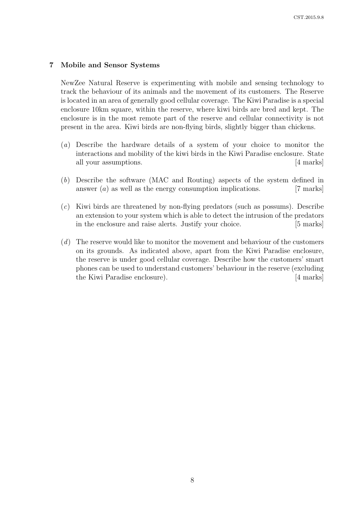### 7 Mobile and Sensor Systems

NewZee Natural Reserve is experimenting with mobile and sensing technology to track the behaviour of its animals and the movement of its customers. The Reserve is located in an area of generally good cellular coverage. The Kiwi Paradise is a special enclosure 10km square, within the reserve, where kiwi birds are bred and kept. The enclosure is in the most remote part of the reserve and cellular connectivity is not present in the area. Kiwi birds are non-flying birds, slightly bigger than chickens.

- (a) Describe the hardware details of a system of your choice to monitor the interactions and mobility of the kiwi birds in the Kiwi Paradise enclosure. State all your assumptions. [4 marks]
- (b) Describe the software (MAC and Routing) aspects of the system defined in answer  $(a)$  as well as the energy consumption implications. [7 marks]
- (c) Kiwi birds are threatened by non-flying predators (such as possums). Describe an extension to your system which is able to detect the intrusion of the predators in the enclosure and raise alerts. Justify your choice. [5 marks]
- (d) The reserve would like to monitor the movement and behaviour of the customers on its grounds. As indicated above, apart from the Kiwi Paradise enclosure, the reserve is under good cellular coverage. Describe how the customers' smart phones can be used to understand customers' behaviour in the reserve (excluding the Kiwi Paradise enclosure). [4 marks]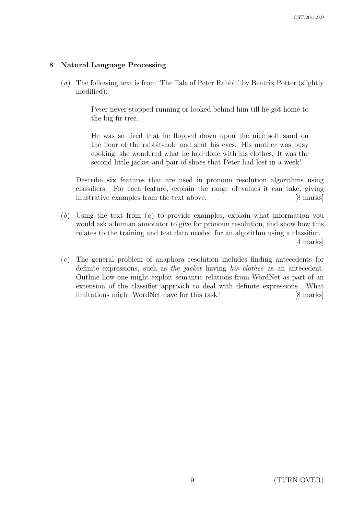# 8 Natural Language Processing

(a) The following text is from 'The Tale of Peter Rabbit' by Beatrix Potter (slightly modified):

> Peter never stopped running or looked behind him till he got home to the big fir-tree.

> He was so tired that he flopped down upon the nice soft sand on the floor of the rabbit-hole and shut his eyes. His mother was busy cooking; she wondered what he had done with his clothes. It was the second little jacket and pair of shoes that Peter had lost in a week!

Describe six features that are used in pronoun resolution algorithms using classifiers. For each feature, explain the range of values it can take, giving illustrative examples from the text above. [8 marks]

- $(b)$  Using the text from  $(a)$  to provide examples, explain what information you would ask a human annotator to give for pronoun resolution, and show how this relates to the training and test data needed for an algorithm using a classifier. [4 marks]
- (c) The general problem of anaphora resolution includes finding antecedents for definite expressions, such as the jacket having his clothes as an antecedent. Outline how one might exploit semantic relations from WordNet as part of an extension of the classifier approach to deal with definite expressions. What limitations might WordNet have for this task? [8 marks]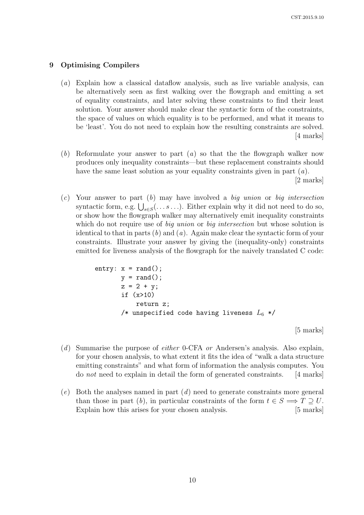#### 9 Optimising Compilers

- (a) Explain how a classical dataflow analysis, such as live variable analysis, can be alternatively seen as first walking over the flowgraph and emitting a set of equality constraints, and later solving these constraints to find their least solution. Your answer should make clear the syntactic form of the constraints, the space of values on which equality is to be performed, and what it means to be 'least'. You do not need to explain how the resulting constraints are solved. [4 marks]
- (b) Reformulate your answer to part  $(a)$  so that the the flowgraph walker now produces only inequality constraints—but these replacement constraints should have the same least solution as your equality constraints given in part  $(a)$ . [2 marks]
- $(c)$  Your answer to part  $(b)$  may have involved a big union or big intersection syntactic form, e.g.  $\bigcup_{s \in S} (\ldots s \ldots)$ . Either explain why it did not need to do so, or show how the flowgraph walker may alternatively emit inequality constraints which do not require use of *big union* or *big intersection* but whose solution is identical to that in parts  $(b)$  and  $(a)$ . Again make clear the syntactic form of your constraints. Illustrate your answer by giving the (inequality-only) constraints emitted for liveness analysis of the flowgraph for the naively translated C code:

```
entry: x = rand();
       y = rand();
       z = 2 + y;if (x>10)
           return z;
       /* unspecified code having liveness L_6 */
```
[5 marks]

- (d) Summarise the purpose of either 0-CFA or Andersen's analysis. Also explain, for your chosen analysis, to what extent it fits the idea of "walk a data structure emitting constraints" and what form of information the analysis computes. You do not need to explain in detail the form of generated constraints. [4 marks]
- $(e)$  Both the analyses named in part  $(d)$  need to generate constraints more general than those in part (b), in particular constraints of the form  $t \in S \implies T \supset U$ . Explain how this arises for your chosen analysis. [5 marks]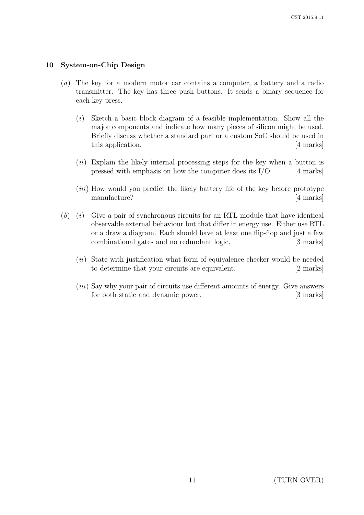### 10 System-on-Chip Design

- (a) The key for a modern motor car contains a computer, a battery and a radio transmitter. The key has three push buttons. It sends a binary sequence for each key press.
	- $(i)$  Sketch a basic block diagram of a feasible implementation. Show all the major components and indicate how many pieces of silicon might be used. Briefly discuss whether a standard part or a custom SoC should be used in this application. [4 marks]
	- $(ii)$  Explain the likely internal processing steps for the key when a button is pressed with emphasis on how the computer does its  $I/O$ . [4 marks]
	- (iii) How would you predict the likely battery life of the key before prototype manufacture? [4 marks]
- $(b)$  (i) Give a pair of synchronous circuits for an RTL module that have identical observable external behaviour but that differ in energy use. Either use RTL or a draw a diagram. Each should have at least one flip-flop and just a few combinational gates and no redundant logic. [3 marks]
	- $(ii)$  State with justification what form of equivalence checker would be needed to determine that your circuits are equivalent. [2 marks]
	- (iii) Say why your pair of circuits use different amounts of energy. Give answers for both static and dynamic power. [3 marks]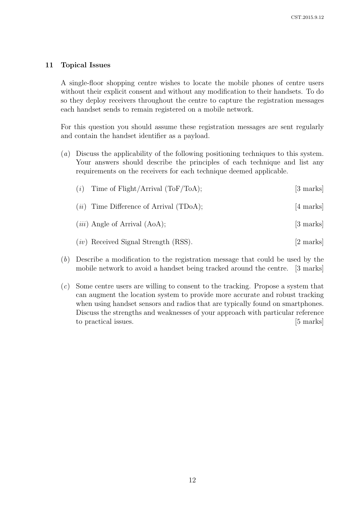### 11 Topical Issues

A single-floor shopping centre wishes to locate the mobile phones of centre users without their explicit consent and without any modification to their handsets. To do so they deploy receivers throughout the centre to capture the registration messages each handset sends to remain registered on a mobile network.

For this question you should assume these registration messages are sent regularly and contain the handset identifier as a payload.

(a) Discuss the applicability of the following positioning techniques to this system. Your answers should describe the principles of each technique and list any requirements on the receivers for each technique deemed applicable.

| Time of $\text{Flight}/\text{Arrival}$ (ToF/ToA);<br>(i) | [3 marks]           |
|----------------------------------------------------------|---------------------|
| $(ii)$ Time Difference of Arrival (TDoA);                | $[4 \text{ marks}]$ |
| $(iii)$ Angle of Arrival (AoA);                          | [3 marks]           |
| $(iv)$ Received Signal Strength (RSS).                   | [2 marks]           |
| $\cdots$                                                 |                     |

- (b) Describe a modification to the registration message that could be used by the mobile network to avoid a handset being tracked around the centre. [3 marks]
- (c) Some centre users are willing to consent to the tracking. Propose a system that can augment the location system to provide more accurate and robust tracking when using handset sensors and radios that are typically found on smartphones. Discuss the strengths and weaknesses of your approach with particular reference to practical issues. [5 marks]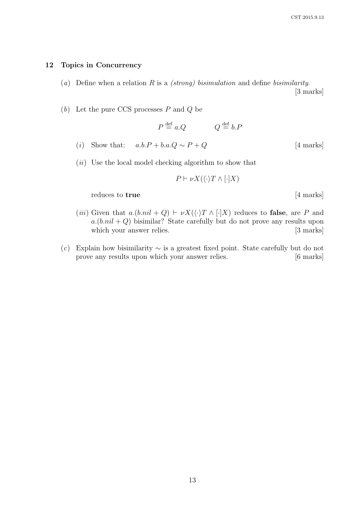### 12 Topics in Concurrency

(a) Define when a relation R is a *(strong)* bisimulation and define bisimilarity.

[3 marks]

 $(b)$  Let the pure CCS processes P and Q be

$$
P \stackrel{\text{def}}{=} a.Q
$$
 
$$
Q \stackrel{\text{def}}{=} b.P
$$

- (i) Show that:  $a.b.P + b.a.Q \sim P + Q$  [4 marks]
- (*ii*) Use the local model checking algorithm to show that

$$
P \vdash \nu X(\langle \cdot \rangle T \wedge [\cdot] X)
$$

reduces to true [4 marks]

- (iii) Given that  $a.(b.nil + Q) \vdash \nu X(\langle \cdot \rangle T \wedge [\cdot]X)$  reduces to false, are P and  $a.(b.nil + Q)$  bisimilar? State carefully but do not prove any results upon which your answer relies. [3 marks]
- (c) Explain how bisimilarity  $\sim$  is a greatest fixed point. State carefully but do not prove any results upon which your answer relies. [6 marks]